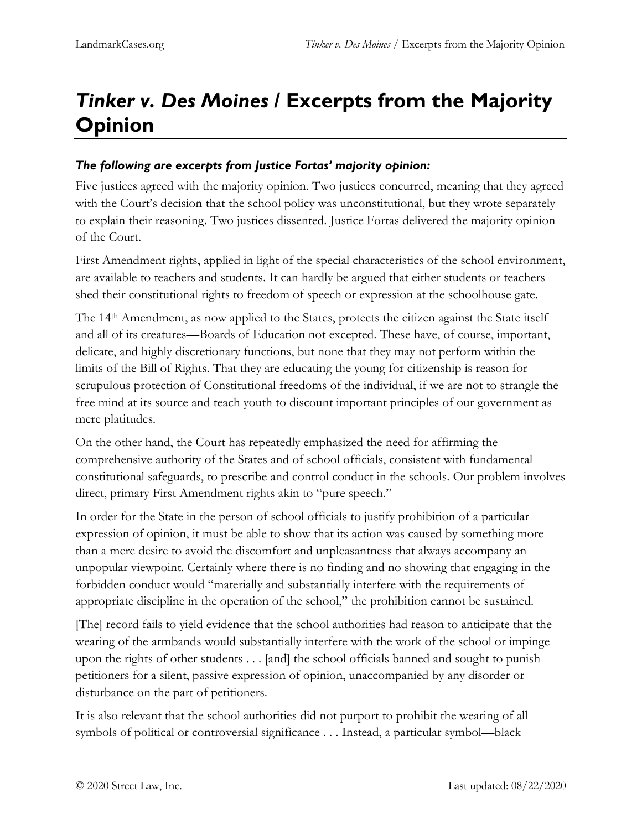## *Tinker v. Des Moines* **/ Excerpts from the Majority Opinion**

## *The following are excerpts from Justice Fortas' majority opinion:*

Five justices agreed with the majority opinion. Two justices concurred, meaning that they agreed with the Court's decision that the school policy was unconstitutional, but they wrote separately to explain their reasoning. Two justices dissented. Justice Fortas delivered the majority opinion of the Court.

First Amendment rights, applied in light of the special characteristics of the school environment, are available to teachers and students. It can hardly be argued that either students or teachers shed their constitutional rights to freedom of speech or expression at the schoolhouse gate.

The 14th Amendment, as now applied to the States, protects the citizen against the State itself and all of its creatures—Boards of Education not excepted. These have, of course, important, delicate, and highly discretionary functions, but none that they may not perform within the limits of the Bill of Rights. That they are educating the young for citizenship is reason for scrupulous protection of Constitutional freedoms of the individual, if we are not to strangle the free mind at its source and teach youth to discount important principles of our government as mere platitudes.

On the other hand, the Court has repeatedly emphasized the need for affirming the comprehensive authority of the States and of school officials, consistent with fundamental constitutional safeguards, to prescribe and control conduct in the schools. Our problem involves direct, primary First Amendment rights akin to "pure speech."

In order for the State in the person of school officials to justify prohibition of a particular expression of opinion, it must be able to show that its action was caused by something more than a mere desire to avoid the discomfort and unpleasantness that always accompany an unpopular viewpoint. Certainly where there is no finding and no showing that engaging in the forbidden conduct would "materially and substantially interfere with the requirements of appropriate discipline in the operation of the school," the prohibition cannot be sustained.

[The] record fails to yield evidence that the school authorities had reason to anticipate that the wearing of the armbands would substantially interfere with the work of the school or impinge upon the rights of other students . . . [and] the school officials banned and sought to punish petitioners for a silent, passive expression of opinion, unaccompanied by any disorder or disturbance on the part of petitioners.

It is also relevant that the school authorities did not purport to prohibit the wearing of all symbols of political or controversial significance . . . Instead, a particular symbol—black